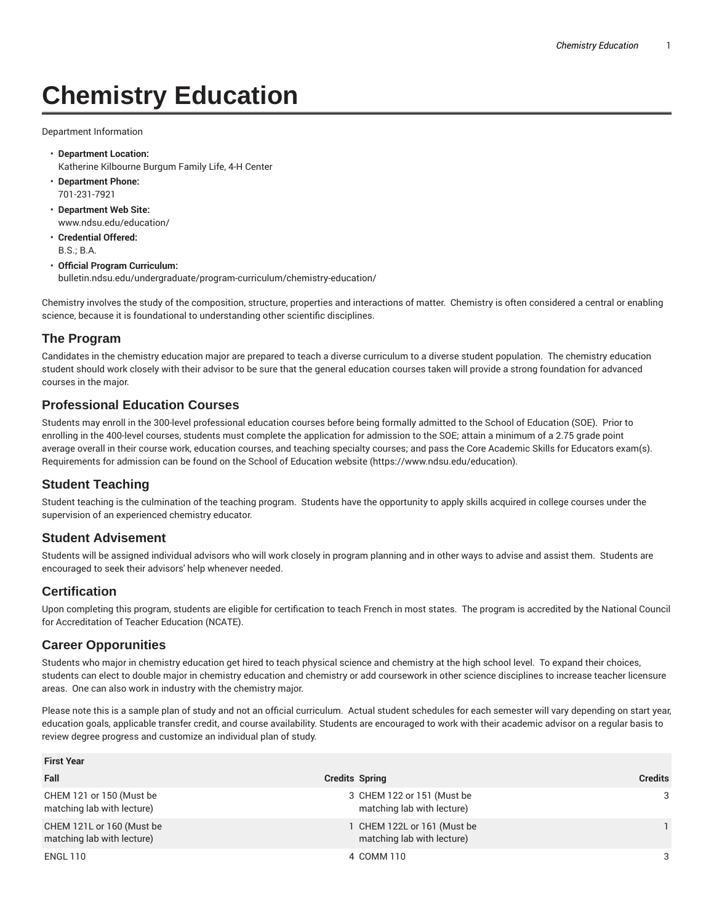# **Chemistry Education**

Department Information

- **Department Location:** Katherine Kilbourne Burgum Family Life, 4-H Center
- **Department Phone:** 701-231-7921
- **Department Web Site:** www.ndsu.edu/education/
- **Credential Offered:** B.S.; B.A.
- **Official Program Curriculum:** bulletin.ndsu.edu/undergraduate/program-curriculum/chemistry-education/

Chemistry involves the study of the composition, structure, properties and interactions of matter. Chemistry is often considered a central or enabling science, because it is foundational to understanding other scientific disciplines.

## **The Program**

Candidates in the chemistry education major are prepared to teach a diverse curriculum to a diverse student population. The chemistry education student should work closely with their advisor to be sure that the general education courses taken will provide a strong foundation for advanced courses in the major.

### **Professional Education Courses**

Students may enroll in the 300-level professional education courses before being formally admitted to the School of Education (SOE). Prior to enrolling in the 400-level courses, students must complete the application for admission to the SOE; attain a minimum of a 2.75 grade point average overall in their course work, education courses, and teaching specialty courses; and pass the Core Academic Skills for Educators exam(s). Requirements for admission can be found on the School of Education website (https://www.ndsu.edu/education).

## **Student Teaching**

Student teaching is the culmination of the teaching program. Students have the opportunity to apply skills acquired in college courses under the supervision of an experienced chemistry educator.

#### **Student Advisement**

Students will be assigned individual advisors who will work closely in program planning and in other ways to advise and assist them. Students are encouraged to seek their advisors' help whenever needed.

#### **Certification**

Upon completing this program, students are eligible for certification to teach French in most states. The program is accredited by the National Council for Accreditation of Teacher Education (NCATE).

#### **Career Opporunities**

Students who major in chemistry education get hired to teach physical science and chemistry at the high school level. To expand their choices, students can elect to double major in chemistry education and chemistry or add coursework in other science disciplines to increase teacher licensure areas. One can also work in industry with the chemistry major.

Please note this is a sample plan of study and not an official curriculum. Actual student schedules for each semester will vary depending on start year, education goals, applicable transfer credit, and course availability. Students are encouraged to work with their academic advisor on a regular basis to review degree progress and customize an individual plan of study.

| <b>First Year</b>                                       |                                                           |                |  |
|---------------------------------------------------------|-----------------------------------------------------------|----------------|--|
| Fall                                                    | <b>Credits Spring</b>                                     | <b>Credits</b> |  |
| CHEM 121 or 150 (Must be<br>matching lab with lecture)  | 3 CHEM 122 or 151 (Must be<br>matching lab with lecture)  | 3              |  |
| CHEM 121L or 160 (Must be<br>matching lab with lecture) | 1 CHEM 122L or 161 (Must be<br>matching lab with lecture) |                |  |
| <b>ENGL 110</b>                                         | 4 COMM 110                                                | 3              |  |